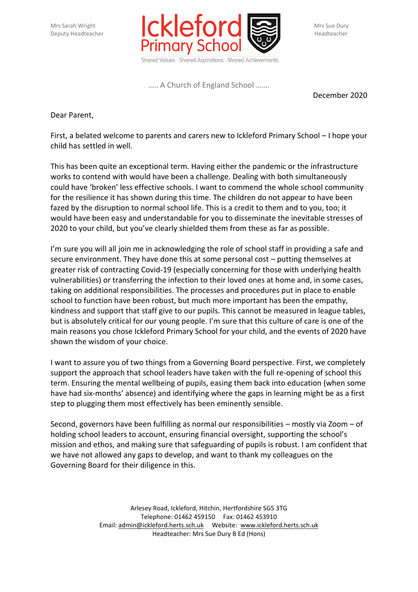

….. A Church of England School …….

December 2020

Dear Parent,

First, a belated welcome to parents and carers new to Ickleford Primary School – I hope your child has settled in well.

This has been quite an exceptional term. Having either the pandemic or the infrastructure works to contend with would have been a challenge. Dealing with both simultaneously could have 'broken' less effective schools. I want to commend the whole school community for the resilience it has shown during this time. The children do not appear to have been fazed by the disruption to normal school life. This is a credit to them and to you, too; it would have been easy and understandable for you to disseminate the inevitable stresses of 2020 to your child, but you've clearly shielded them from these as far as possible.

I'm sure you will all join me in acknowledging the role of school staff in providing a safe and secure environment. They have done this at some personal cost – putting themselves at greater risk of contracting Covid-19 (especially concerning for those with underlying health vulnerabilities) or transferring the infection to their loved ones at home and, in some cases, taking on additional responsibilities. The processes and procedures put in place to enable school to function have been robust, but much more important has been the empathy, kindness and support that staff give to our pupils. This cannot be measured in league tables, but is absolutely critical for our young people. I'm sure that this culture of care is one of the main reasons you chose Ickleford Primary School for your child, and the events of 2020 have shown the wisdom of your choice.

I want to assure you of two things from a Governing Board perspective. First, we completely support the approach that school leaders have taken with the full re-opening of school this term. Ensuring the mental wellbeing of pupils, easing them back into education (when some have had six-months' absence) and identifying where the gaps in learning might be as a first step to plugging them most effectively has been eminently sensible.

Second, governors have been fulfilling as normal our responsibilities – mostly via Zoom – of holding school leaders to account, ensuring financial oversight, supporting the school's mission and ethos, and making sure that safeguarding of pupils is robust. I am confident that we have not allowed any gaps to develop, and want to thank my colleagues on the Governing Board for their diligence in this.

> Arlesey Road, Ickleford, Hitchin, Hertfordshire SG5 3TG Telephone: 01462 459150 Fax: 01462 453910 Email: [admin@ickleford.herts.sch.uk](mailto:admin@ickleford.herts.sch.uk) Website: [www.ickleford.herts.sch.uk](http://www.ickleford.herts.sch.uk/) Headteacher: Mrs Sue Dury B Ed (Hons)